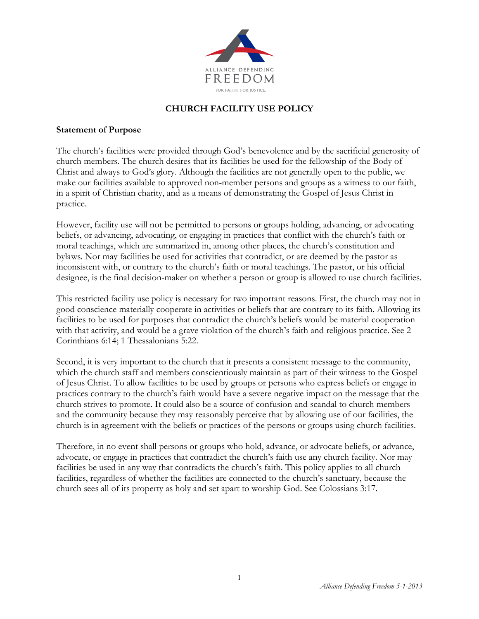

# **CHURCH FACILITY USE POLICY**

#### **Statement of Purpose**

The church's facilities were provided through God's benevolence and by the sacrificial generosity of church members. The church desires that its facilities be used for the fellowship of the Body of Christ and always to God's glory. Although the facilities are not generally open to the public, we make our facilities available to approved non-member persons and groups as a witness to our faith, in a spirit of Christian charity, and as a means of demonstrating the Gospel of Jesus Christ in practice.

However, facility use will not be permitted to persons or groups holding, advancing, or advocating beliefs, or advancing, advocating, or engaging in practices that conflict with the church's faith or moral teachings, which are summarized in, among other places, the church's constitution and bylaws. Nor may facilities be used for activities that contradict, or are deemed by the pastor as inconsistent with, or contrary to the church's faith or moral teachings. The pastor, or his official designee, is the final decision-maker on whether a person or group is allowed to use church facilities.

This restricted facility use policy is necessary for two important reasons. First, the church may not in good conscience materially cooperate in activities or beliefs that are contrary to its faith. Allowing its facilities to be used for purposes that contradict the church's beliefs would be material cooperation with that activity, and would be a grave violation of the church's faith and religious practice. See 2 Corinthians 6:14; 1 Thessalonians 5:22.

Second, it is very important to the church that it presents a consistent message to the community, which the church staff and members conscientiously maintain as part of their witness to the Gospel of Jesus Christ. To allow facilities to be used by groups or persons who express beliefs or engage in practices contrary to the church's faith would have a severe negative impact on the message that the church strives to promote. It could also be a source of confusion and scandal to church members and the community because they may reasonably perceive that by allowing use of our facilities, the church is in agreement with the beliefs or practices of the persons or groups using church facilities.

Therefore, in no event shall persons or groups who hold, advance, or advocate beliefs, or advance, advocate, or engage in practices that contradict the church's faith use any church facility. Nor may facilities be used in any way that contradicts the church's faith. This policy applies to all church facilities, regardless of whether the facilities are connected to the church's sanctuary, because the church sees all of its property as holy and set apart to worship God. See Colossians 3:17.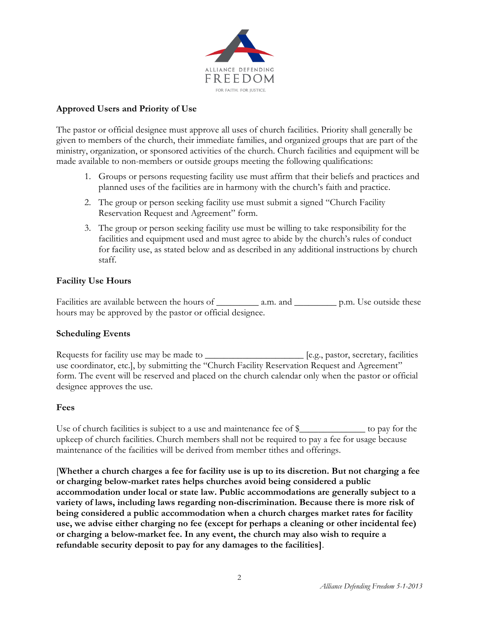

### **Approved Users and Priority of Use**

The pastor or official designee must approve all uses of church facilities. Priority shall generally be given to members of the church, their immediate families, and organized groups that are part of the ministry, organization, or sponsored activities of the church. Church facilities and equipment will be made available to non-members or outside groups meeting the following qualifications:

- 1. Groups or persons requesting facility use must affirm that their beliefs and practices and planned uses of the facilities are in harmony with the church's faith and practice.
- 2. The group or person seeking facility use must submit a signed "Church Facility Reservation Request and Agreement" form.
- 3. The group or person seeking facility use must be willing to take responsibility for the facilities and equipment used and must agree to abide by the church's rules of conduct for facility use, as stated below and as described in any additional instructions by church staff.

## **Facility Use Hours**

Facilities are available between the hours of \_\_\_\_\_\_\_\_\_ a.m. and \_\_\_\_\_\_\_\_\_ p.m. Use outside these hours may be approved by the pastor or official designee.

### **Scheduling Events**

Requests for facility use may be made to \_\_\_\_\_\_\_\_\_\_\_\_\_\_\_\_\_\_\_\_\_\_\_\_ [e.g., pastor, secretary, facilities use coordinator, etc.], by submitting the "Church Facility Reservation Request and Agreement" form. The event will be reserved and placed on the church calendar only when the pastor or official designee approves the use.

#### **Fees**

Use of church facilities is subject to a use and maintenance fee of \$\_\_\_\_\_\_\_\_\_\_\_\_\_\_ to pay for the upkeep of church facilities. Church members shall not be required to pay a fee for usage because maintenance of the facilities will be derived from member tithes and offerings.

[**Whether a church charges a fee for facility use is up to its discretion. But not charging a fee or charging below-market rates helps churches avoid being considered a public accommodation under local or state law. Public accommodations are generally subject to a variety of laws, including laws regarding non-discrimination. Because there is more risk of being considered a public accommodation when a church charges market rates for facility use, we advise either charging no fee (except for perhaps a cleaning or other incidental fee) or charging a below-market fee. In any event, the church may also wish to require a refundable security deposit to pay for any damages to the facilities]**.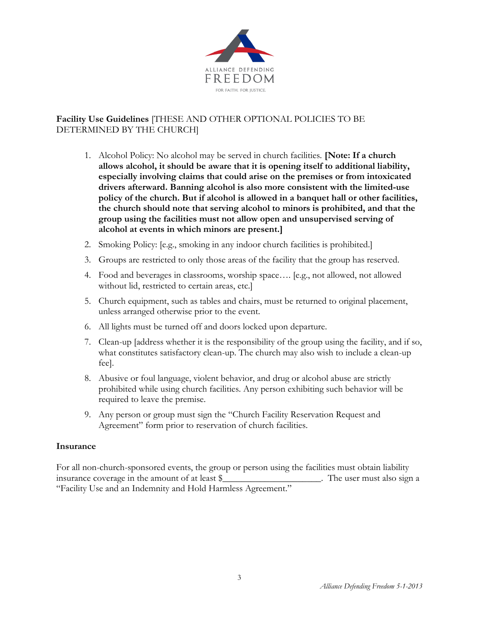

# **Facility Use Guidelines** [THESE AND OTHER OPTIONAL POLICIES TO BE DETERMINED BY THE CHURCH]

- 1. Alcohol Policy: No alcohol may be served in church facilities. **[Note: If a church allows alcohol, it should be aware that it is opening itself to additional liability, especially involving claims that could arise on the premises or from intoxicated drivers afterward. Banning alcohol is also more consistent with the limited-use policy of the church. But if alcohol is allowed in a banquet hall or other facilities, the church should note that serving alcohol to minors is prohibited, and that the group using the facilities must not allow open and unsupervised serving of alcohol at events in which minors are present.]**
- 2. Smoking Policy: [e.g., smoking in any indoor church facilities is prohibited.]
- 3. Groups are restricted to only those areas of the facility that the group has reserved.
- 4. Food and beverages in classrooms, worship space…. [e.g., not allowed, not allowed without lid, restricted to certain areas, etc.]
- 5. Church equipment, such as tables and chairs, must be returned to original placement, unless arranged otherwise prior to the event.
- 6. All lights must be turned off and doors locked upon departure.
- 7. Clean-up [address whether it is the responsibility of the group using the facility, and if so, what constitutes satisfactory clean-up. The church may also wish to include a clean-up fee].
- 8. Abusive or foul language, violent behavior, and drug or alcohol abuse are strictly prohibited while using church facilities. Any person exhibiting such behavior will be required to leave the premise.
- 9. Any person or group must sign the "Church Facility Reservation Request and Agreement" form prior to reservation of church facilities.

#### **Insurance**

For all non-church-sponsored events, the group or person using the facilities must obtain liability insurance coverage in the amount of at least \$\_\_\_\_\_\_\_\_\_\_\_\_\_\_\_\_\_\_\_\_\_. The user must also sign a "Facility Use and an Indemnity and Hold Harmless Agreement."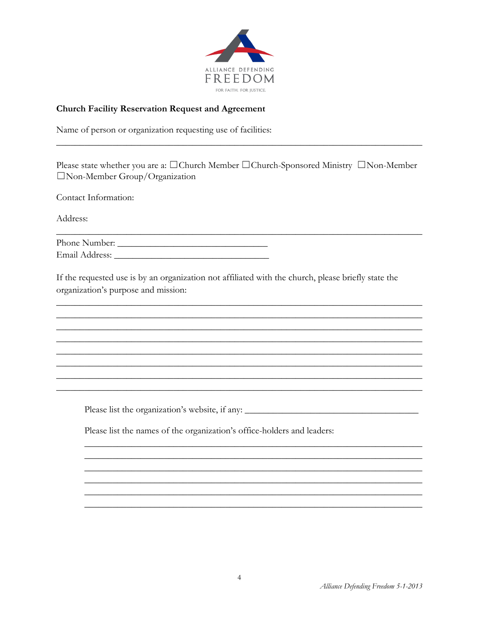

### **Church Facility Reservation Request and Agreement**

Name of person or organization requesting use of facilities:

Please state whether you are a: □Church Member □Church-Sponsored Ministry □Non-Member  $\Box$  Non-Member Group/Organization

Contact Information:

Address:

| Phone Number:  |  |
|----------------|--|
| Email Address: |  |

If the requested use is by an organization not affiliated with the church, please briefly state the organization's purpose and mission:

Please list the names of the organization's office-holders and leaders: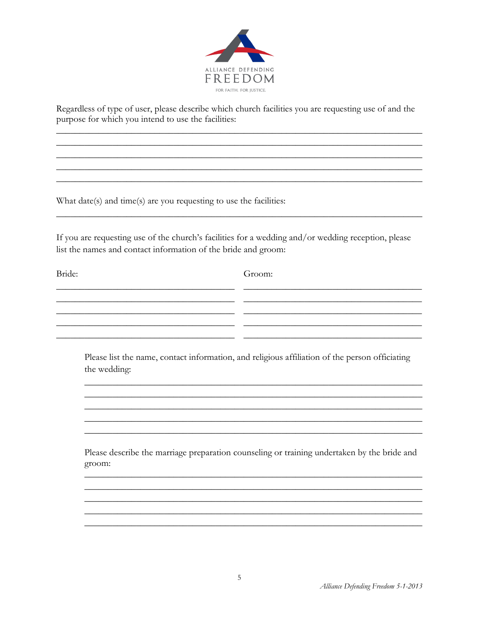

Regardless of type of user, please describe which church facilities you are requesting use of and the purpose for which you intend to use the facilities:

What date(s) and time(s) are you requesting to use the facilities:

If you are requesting use of the church's facilities for a wedding and/or wedding reception, please list the names and contact information of the bride and groom:

Bride:

Groom:

Please list the name, contact information, and religious affiliation of the person officiating the wedding:

\_ \_ \_

Please describe the marriage preparation counseling or training undertaken by the bride and groom: